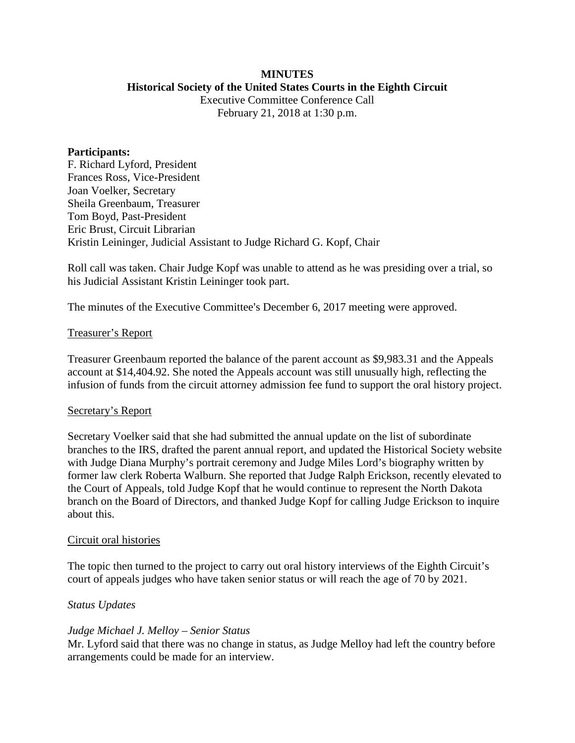# **MINUTES**

# **Historical Society of the United States Courts in the Eighth Circuit**

Executive Committee Conference Call February 21, 2018 at 1:30 p.m.

#### **Participants:**

F. Richard Lyford, President Frances Ross, Vice-President Joan Voelker, Secretary Sheila Greenbaum, Treasurer Tom Boyd, Past-President Eric Brust, Circuit Librarian Kristin Leininger, Judicial Assistant to Judge Richard G. Kopf, Chair

Roll call was taken. Chair Judge Kopf was unable to attend as he was presiding over a trial, so his Judicial Assistant Kristin Leininger took part.

The minutes of the Executive Committee's December 6, 2017 meeting were approved.

## Treasurer's Report

Treasurer Greenbaum reported the balance of the parent account as \$9,983.31 and the Appeals account at \$14,404.92. She noted the Appeals account was still unusually high, reflecting the infusion of funds from the circuit attorney admission fee fund to support the oral history project.

## Secretary's Report

Secretary Voelker said that she had submitted the annual update on the list of subordinate branches to the IRS, drafted the parent annual report, and updated the Historical Society website with Judge Diana Murphy's portrait ceremony and Judge Miles Lord's biography written by former law clerk Roberta Walburn. She reported that Judge Ralph Erickson, recently elevated to the Court of Appeals, told Judge Kopf that he would continue to represent the North Dakota branch on the Board of Directors, and thanked Judge Kopf for calling Judge Erickson to inquire about this.

## Circuit oral histories

The topic then turned to the project to carry out oral history interviews of the Eighth Circuit's court of appeals judges who have taken senior status or will reach the age of 70 by 2021.

## *Status Updates*

## *Judge Michael J. Melloy – Senior Status*

Mr. Lyford said that there was no change in status, as Judge Melloy had left the country before arrangements could be made for an interview.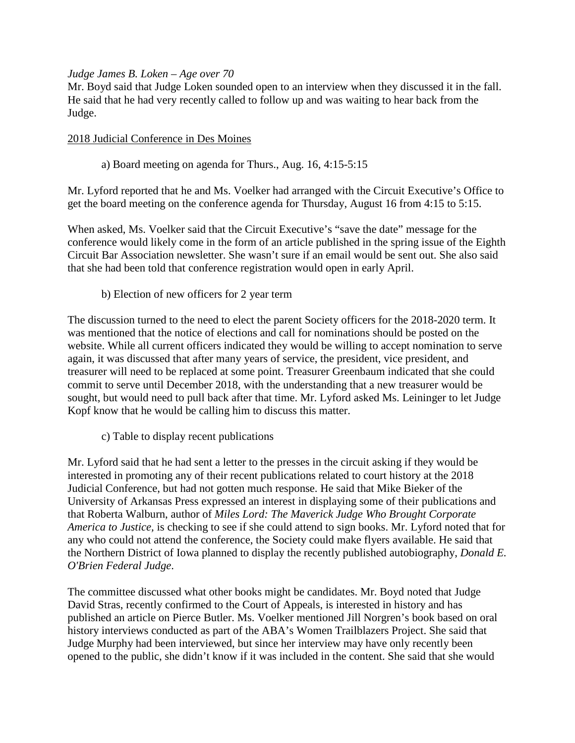## *Judge James B. Loken – Age over 70*

Mr. Boyd said that Judge Loken sounded open to an interview when they discussed it in the fall. He said that he had very recently called to follow up and was waiting to hear back from the Judge.

#### 2018 Judicial Conference in Des Moines

## a) Board meeting on agenda for Thurs., Aug. 16, 4:15-5:15

Mr. Lyford reported that he and Ms. Voelker had arranged with the Circuit Executive's Office to get the board meeting on the conference agenda for Thursday, August 16 from 4:15 to 5:15.

When asked, Ms. Voelker said that the Circuit Executive's "save the date" message for the conference would likely come in the form of an article published in the spring issue of the Eighth Circuit Bar Association newsletter. She wasn't sure if an email would be sent out. She also said that she had been told that conference registration would open in early April.

## b) Election of new officers for 2 year term

The discussion turned to the need to elect the parent Society officers for the 2018-2020 term. It was mentioned that the notice of elections and call for nominations should be posted on the website. While all current officers indicated they would be willing to accept nomination to serve again, it was discussed that after many years of service, the president, vice president, and treasurer will need to be replaced at some point. Treasurer Greenbaum indicated that she could commit to serve until December 2018, with the understanding that a new treasurer would be sought, but would need to pull back after that time. Mr. Lyford asked Ms. Leininger to let Judge Kopf know that he would be calling him to discuss this matter.

c) Table to display recent publications

Mr. Lyford said that he had sent a letter to the presses in the circuit asking if they would be interested in promoting any of their recent publications related to court history at the 2018 Judicial Conference, but had not gotten much response. He said that Mike Bieker of the University of Arkansas Press expressed an interest in displaying some of their publications and that Roberta Walburn, author of *Miles Lord: The Maverick Judge Who Brought Corporate America to Justice,* is checking to see if she could attend to sign books. Mr. Lyford noted that for any who could not attend the conference, the Society could make flyers available. He said that the Northern District of Iowa planned to display the recently published autobiography, *Donald E. O'Brien Federal Judge*.

The committee discussed what other books might be candidates. Mr. Boyd noted that Judge David Stras, recently confirmed to the Court of Appeals, is interested in history and has published an article on Pierce Butler. Ms. Voelker mentioned Jill Norgren's book based on oral history interviews conducted as part of the ABA's Women Trailblazers Project. She said that Judge Murphy had been interviewed, but since her interview may have only recently been opened to the public, she didn't know if it was included in the content. She said that she would